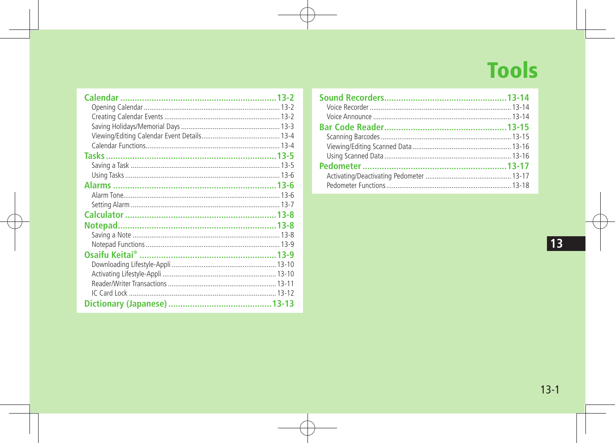# **Tools**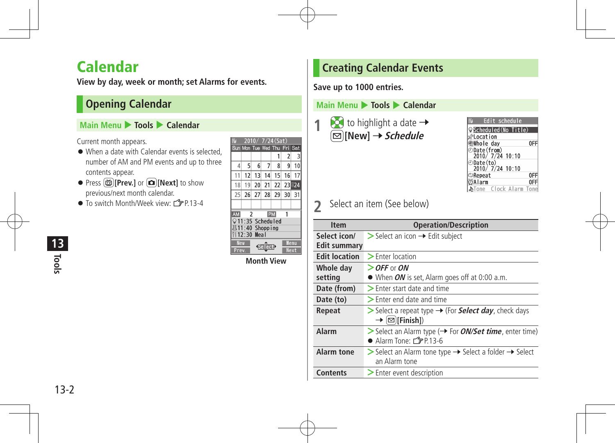# Calendar

**View by day, week or month; set Alarms for events.**

# **Opening Calendar**

### **Main Menu** 4 **Tools** 4 **Calendar**

Current month appears.

- When a date with Calendar events is selected, number of AM and PM events and up to three contents appear.
- Press **<b>茴**[Prev.] or **□**[Next] to show previous/next month calendar.
- $\bullet$  To switch Month/Week view:  $\uparrow$   $\uparrow$  P 13-4

|                | 201            |      |                        | '24 (Sat` |         |       |
|----------------|----------------|------|------------------------|-----------|---------|-------|
|                |                |      | Sun Mon Tue Wed Thu    |           | Fri Sat |       |
|                |                |      |                        |           | 2       | 3     |
| $\overline{4}$ | 5              | 6    | 7                      | 8         | 9       |       |
| 11             | 12             | 13   | 14                     | 15        | 16      | 17    |
| 18             | 19             | 20   | 21                     | 22        |         | 23 24 |
| 25             | 26             | 27   | 28                     | 29        | 30      | 31    |
|                |                |      |                        |           |         |       |
| <b>AM</b>      | $\overline{2}$ |      |                        | PM        | 1       |       |
| ⊙ 11           | :35            |      | <b>Scheduled</b>       |           |         |       |
|                | :40            |      | Shopp ing              |           |         |       |
|                | 12:30          | Meal |                        |           |         |       |
| New            |                |      |                        |           |         | Menu  |
| Prev.          |                |      | Select <sup>&gt;</sup> |           |         | Next  |
|                |                |      |                        |           |         |       |

**Month View**

# **Creating Calendar Events**

**Save up to 1000 entries.**

#### **Main Menu** 4 **Tools** 4 **Calendar**



| Edit schedule                |  |
|------------------------------|--|
| Scheduled(No Title)          |  |
| Eocation®                    |  |
| <b>心Whole day</b>            |  |
| ⊕Date(from)                  |  |
| 2010/ 7/24 10:10             |  |
| ⊕Date(to)<br>2010/7/24 10:10 |  |
|                              |  |
| ⊅Repeat                      |  |
| වීAlarm                      |  |
| bTone – Clock Alarm Tor      |  |
|                              |  |

**2** Select an item (See below)

| <b>Item</b>                  | <b>Operation/Description</b>                                                                                                   |
|------------------------------|--------------------------------------------------------------------------------------------------------------------------------|
| Select icon/<br>Edit summary | $\triangleright$ Select an icon $\rightarrow$ Edit subject                                                                     |
| <b>Edit location</b>         | $\geq$ Enter location                                                                                                          |
| Whole day                    | $\ge$ OFF or ON                                                                                                                |
| setting                      | • When ON is set, Alarm goes off at 0:00 a.m.                                                                                  |
| Date (from)                  | $\geq$ Enter start date and time                                                                                               |
| Date (to)                    | $\geq$ Enter end date and time                                                                                                 |
| Repeat                       | $\triangleright$ Select a repeat type $\rightarrow$ (For <b>Select day</b> , check days<br>$\rightarrow \textsf{on}$ [Finish]) |
| Alarm                        | $\triangleright$ Select an Alarm type ( $\rightarrow$ For <i>ON/Set time</i> , enter time)<br>● Alarm Tone: 全P.13-6            |
| <b>Alarm tone</b>            | Select an Alarm tone type $\rightarrow$ Select a folder $\rightarrow$ Select<br>an Alarm tone                                  |
| <b>Contents</b>              | $\geq$ Enter event description                                                                                                 |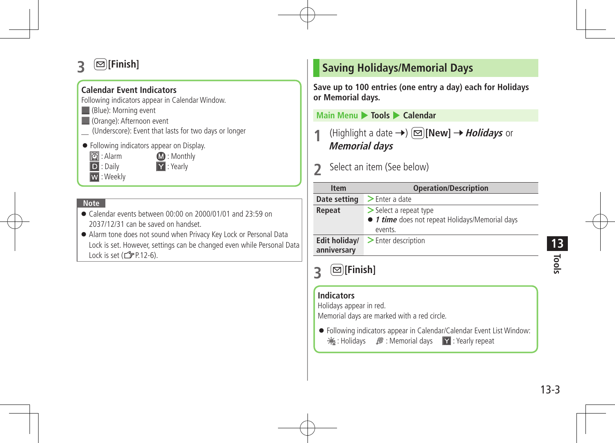# $\textcircled{\Xi}$  [Finish]

## **Calendar Event Indicators**

Following indicators appear in Calendar Window.

- **Manuel** (Blue): Morning event
- **Corange**): Afternoon event
- \_ (Underscore): Event that lasts for two days or longer
- Following indicators appear on Display.
	- **2**: Alarm **12:** Monthly

D : Daily **Y** : Yearly

W : Weekly

### **Note**

- Calendar events between 00:00 on 2000/01/01 and 23:59 on 2037/12/31 can be saved on handset.
- Alarm tone does not sound when Privacy Key Lock or Personal Data Lock is set. However, settings can be changed even while Personal Da Lock is set  $(\sqrt{27}P.12-6)$ .

# **Saving Holidays/Memorial Days**

**Save up to 100 entries (one entry a day) each for Holidays or Memorial days.**

**Main Menu** 4 **Tools** 4 **Calendar**

**(Highlight a date →)**  $\textcircled{=}$  **[New] →** *Holidays* **or Memorial days**

Select an item (See below)

| <b>Item</b>                   | <b>Operation/Description</b>                                                         |  |  |  |
|-------------------------------|--------------------------------------------------------------------------------------|--|--|--|
| Date setting                  | $\geq$ Enter a date                                                                  |  |  |  |
| Repeat                        | > Select a repeat type<br>• 1 time does not repeat Holidays/Memorial days<br>events. |  |  |  |
| Edit holiday/                 | $\blacktriangleright$ Enter description                                              |  |  |  |
| anniversary<br>$[⊠]$ [Finish] |                                                                                      |  |  |  |
| <b>Indicators</b>             |                                                                                      |  |  |  |
| Holidays appear in red.       | Memorial days are marked with a red circle.                                          |  |  |  |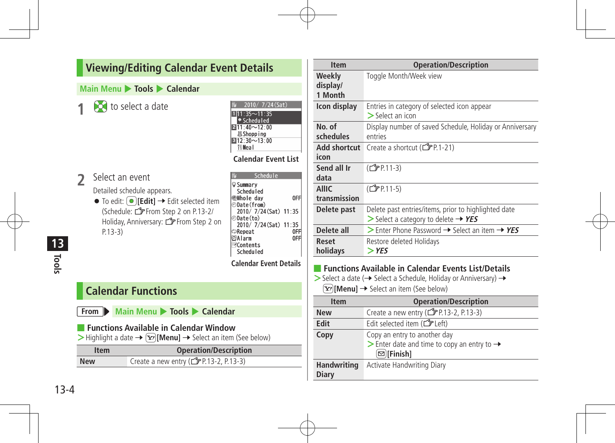## **Viewing/Editing Calendar Event Details**

#### **Main Menu** 4 **Tools** 4 **Calendar**

**10** to select a date

| $\overline{2}$ | Select an event            |
|----------------|----------------------------|
|                | Detailed schedule appears. |

 $\bullet$  To edit:  $\circ$ **[Edit]**  $\rightarrow$  Edit selected item (Schedule:ZFrom Step 2 on P.13-2/ Holiday, Anniversary: **F**rom Step 2 on P.13-3)

| 70. . 11. 14 - 12.<br>基Shopping<br>$312:30 - 13:00$<br><b>Weal</b> |    |
|--------------------------------------------------------------------|----|
| <b>Calendar Event List</b>                                         |    |
| Schedule                                                           |    |
| ଢ଼Summarv                                                          |    |
| <b>Scheduled</b>                                                   |    |
| ∰Whole day                                                         | 0f |
| වDate(from)                                                        |    |
| 2010/ 7/24 (Sat) 11:35                                             |    |
| ⊕Date(to)                                                          |    |
| 2010/ 7/24 (Sat) 11:35                                             |    |
| ⊅Repeat                                                            |    |

2010/7/24(Sat)  $1|11:35 \sim 11:35$ Scheduled

**Calendar Event Details**

0FF

**OAlarm** 

**EContents** Scheduled

## **Calendar Functions**

| From $\blacktriangleright$ |  |  | Main Menu > Tools > Calendar |
|----------------------------|--|--|------------------------------|
|----------------------------|--|--|------------------------------|

| Functions Available in Calendar Window |  |  |  |
|----------------------------------------|--|--|--|
|                                        |  |  |  |

 $\triangleright$  Highlight a date  $\rightarrow \widehat{X}$ **[Menu]**  $\rightarrow$  Select an item (See below)

| <b>Item</b> | <b>Operation/Description</b> |  |
|-------------|------------------------------|--|
| <b>New</b>  | P.13-2, P.13-3)              |  |

| <b>Item</b>                   | <b>Operation/Description</b>                                                                              |
|-------------------------------|-----------------------------------------------------------------------------------------------------------|
| Weekly<br>display/<br>1 Month | Toggle Month/Week view                                                                                    |
| Icon display                  | Entries in category of selected icon appear<br>$\geq$ Select an icon                                      |
| No. of<br>schedules           | Display number of saved Schedule, Holiday or Anniversary<br>entries                                       |
| Add shortcut<br>icon          | Create a shortcut (子P.1-21)                                                                               |
| Send all Ir<br>data           | ( <del>C</del> ) P.11-3)                                                                                  |
| <b>AIIIC</b><br>transmission  | (C <sub>J</sub> P P.11-5)                                                                                 |
| Delete past                   | Delete past entries/items, prior to highlighted date<br>$>$ Select a category to delete $\rightarrow$ YES |
| Delete all                    | > Enter Phone Password $\rightarrow$ Select an item $\rightarrow$ YES                                     |
| <b>Reset</b><br>holidays      | Restore deleted Holidays<br>$>$ YFS                                                                       |

> Select a date (→ Select a Schedule, Holiday or Anniversary) →  $\boxed{\mathbf{Y}}$  [Menu]  $\rightarrow$  Select an item (See below)

| <b>Item</b>                        | <b>Operation/Description</b>                                                                                                           |  |  |
|------------------------------------|----------------------------------------------------------------------------------------------------------------------------------------|--|--|
| <b>New</b>                         | Create a new entry (CPP.13-2, P.13-3)                                                                                                  |  |  |
| Edit                               | Edit selected item ( $\mathcal{F}$ Left)                                                                                               |  |  |
| Copy                               | Copy an entry to another day<br>$\triangleright$ Enter date and time to copy an entry to $\rightarrow$<br>$\textcircled{\pi}$ [Finish] |  |  |
| <b>Handwriting</b><br><b>Diary</b> | Activate Handwriting Diary                                                                                                             |  |  |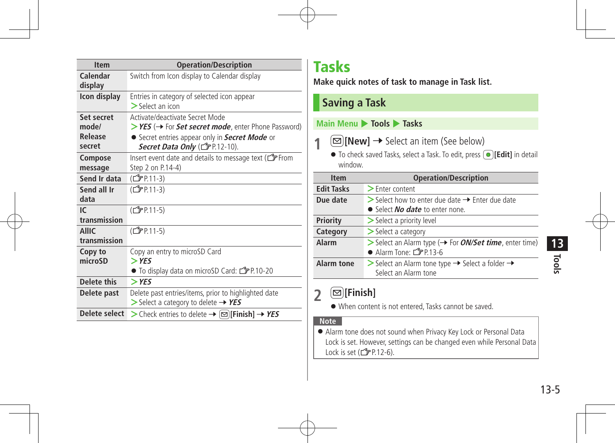| <b>Item</b>                  | <b>Operation/Description</b>                                                                              |  |  |
|------------------------------|-----------------------------------------------------------------------------------------------------------|--|--|
| Calendar<br>display          | Switch from Icon display to Calendar display                                                              |  |  |
| Icon display                 | Entries in category of selected icon appear<br>$\geq$ Select an icon                                      |  |  |
| Set secret<br>mode/          | Activate/deactivate Secret Mode<br>> YES (→ For Set secret mode, enter Phone Password)                    |  |  |
| Release<br>secret            | • Secret entries appear only in Secret Mode or<br>Secret Data Only (CFP.12-10).                           |  |  |
| Compose<br>message           | Insert event date and details to message text ( <b>F</b> From<br>Step 2 on P.14-4)                        |  |  |
| Send Ir data                 | (C <sub>J</sub> P.11-3)                                                                                   |  |  |
| Send all Ir<br>data          | (C <sub>J</sub> P <sub>P</sub> .11-3)                                                                     |  |  |
| IC.<br>transmission          | (C <sub>J</sub> PP.11-5)                                                                                  |  |  |
| <b>AllIC</b><br>transmission | (C <sub>J</sub> PP.11-5)                                                                                  |  |  |
| Copy to<br>microSD           | Copy an entry to microSD Card<br>$>$ YES<br>● To display data on microSD Card: CFP 10-20                  |  |  |
| Delete this                  | $>$ YES                                                                                                   |  |  |
| Delete past                  | Delete past entries/items, prior to highlighted date<br>$>$ Select a category to delete $\rightarrow$ YES |  |  |
| Delete select                | > Check entries to delete → $\boxed{\infty}$ [Finish] → YES                                               |  |  |

# Tasks

**Make quick notes of task to manage in Task list.**

# **Saving a Task**

## **Main Menu** 4 **Tools** 4 **Tasks**

**1**  $\textcircled{r}$  [New]  $\rightarrow$  Select an item (See below)

● To check saved Tasks, select a Task. To edit, press **■ [Edit]** in detail window.

| <b>Item</b>       | <b>Operation/Description</b>                                                                                         |  |  |
|-------------------|----------------------------------------------------------------------------------------------------------------------|--|--|
| <b>Edit Tasks</b> | $\geq$ Enter content                                                                                                 |  |  |
| Due date          | $\triangleright$ Select how to enter due date $\rightarrow$ Enter due date<br>• Select <i>No date</i> to enter none. |  |  |
| <b>Priority</b>   | > Select a priority level                                                                                            |  |  |
| Category          | $\geq$ Select a category                                                                                             |  |  |
| Alarm             | > Select an Alarm type (→ For <i>ON/Set time</i> , enter time)<br>Alarm Tone: $2P.13-6$                              |  |  |
| <b>Alarm tone</b> | Select an Alarm tone type $\rightarrow$ Select a folder $\rightarrow$<br>Select an Alarm tone                        |  |  |

# $2 \n\textcircled{F}$ [Finish]

When content is not entered, Tasks cannot be saved.

#### **Note**

 Alarm tone does not sound when Privacy Key Lock or Personal Data Lock is set. However, settings can be changed even while Personal Data Lock is set  $(\mathbb{Z}P.12-6)$ .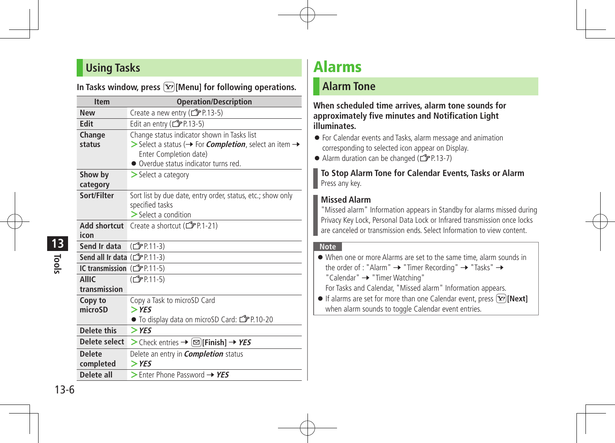## **Using Tasks**

|  |  |  |  |  |  |  | In Tasks window, press $\boxed{\mathbf{\Sigma}}$ [Menu] for following operations. |
|--|--|--|--|--|--|--|-----------------------------------------------------------------------------------|
|--|--|--|--|--|--|--|-----------------------------------------------------------------------------------|

| <b>Item</b>                           | <b>Operation/Description</b>                                                                                                                                                                                            |  |  |
|---------------------------------------|-------------------------------------------------------------------------------------------------------------------------------------------------------------------------------------------------------------------------|--|--|
| <b>New</b>                            | Create a new entry (子P.13-5)                                                                                                                                                                                            |  |  |
| Edit                                  | Edit an entry ( $\mathbb{C}$ P.13-5)                                                                                                                                                                                    |  |  |
| Change<br>status                      | Change status indicator shown in Tasks list<br>$\triangleright$ Select a status ( $\rightarrow$ For <i>Completion</i> , select an item $\rightarrow$<br>Enter Completion date)<br>• Overdue status indicator turns red. |  |  |
| Show by<br>category                   | $\geq$ Select a category                                                                                                                                                                                                |  |  |
| Sort/Filter                           | Sort list by due date, entry order, status, etc.; show only<br>specified tasks<br>$\geq$ Select a condition                                                                                                             |  |  |
| <b>Add shortcut</b><br>icon           | Create a shortcut (子P.1-21)                                                                                                                                                                                             |  |  |
| Send Ir data                          | (C <sub>J</sub> P P 11-3)                                                                                                                                                                                               |  |  |
| Send all Ir data $(\mathbb{Z}P.11-3)$ |                                                                                                                                                                                                                         |  |  |
| IC transmission (子P.11-5)             |                                                                                                                                                                                                                         |  |  |
| <b>AIIIC</b><br>transmission          | (C <sub>J</sub> P.11-5)                                                                                                                                                                                                 |  |  |
| Copy to<br>microSD                    | Copy a Task to microSD Card<br>$>$ YES<br>● To display data on microSD Card: rep.10-20                                                                                                                                  |  |  |
| <b>Delete this</b>                    | $>$ YES                                                                                                                                                                                                                 |  |  |
| Delete select                         | > Check entries → $\infty$ [Finish] → YES                                                                                                                                                                               |  |  |
| <b>Delete</b><br>completed            | Delete an entry in <i>Completion</i> status<br>$>$ YES                                                                                                                                                                  |  |  |
| Delete all                            | $\triangleright$ Enter Phone Password $\rightarrow$ YES                                                                                                                                                                 |  |  |

# Alarms

## **Alarm Tone**

**When scheduled time arrives, alarm tone sounds for approximately five minutes and Notification Light illuminates.**

- For Calendar events and Tasks, alarm message and animation corresponding to selected icon appear on Display.
- Alarm duration can be changed ( $\mathcal{F}$ P.13-7)

#### **To Stop Alarm Tone for Calendar Events, Tasks or Alarm** Press any key.

## **Missed Alarm**

"Missed alarm" Information appears in Standby for alarms missed during Privacy Key Lock, Personal Data Lock or Infrared transmission once locks are canceled or transmission ends. Select Information to view content.

#### **Note**

| • When one or more Alarms are set to the same time, alarm sounds in                        |
|--------------------------------------------------------------------------------------------|
| the order of : "Alarm" $\rightarrow$ "Timer Recording" $\rightarrow$ "Tasks" $\rightarrow$ |
| "Calendar" > "Timer Watching"                                                              |
| For Tasks and Calendar, "Missed alarm" Information appears.                                |

**If alarms are set for more than one Calendar event, press**  $\widehat{X}$ **[Next]** when alarm sounds to toggle Calendar event entries.

**Tools 13**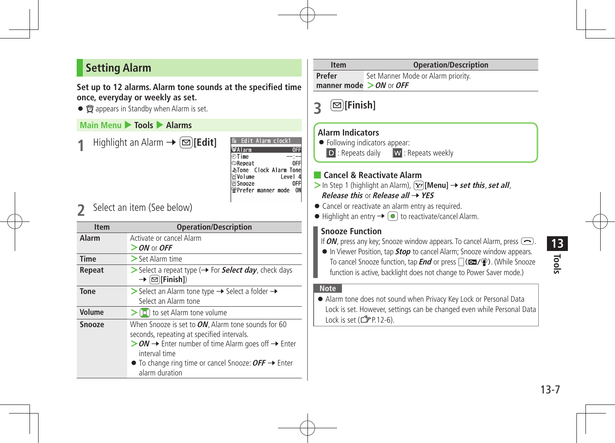# **Setting Alarm**

**Set up to 12 alarms. Alarm tone sounds at the specified time once, everyday or weekly as set.**

•  $\bullet$  appears in Standby when Alarm is set.

### **Main Menu ▶ Tools ▶ Alarms**

**Highlight an Alarm**  $\rightarrow \boxed{\infty}$ **[Edit]** 

| Edit Alarm clock1          |         |
|----------------------------|---------|
| oAlarm                     |         |
| ிTime                      |         |
| ⊅Repeat                    |         |
| 心Tone Clock Alarm Tone     |         |
| ⊗Volume                    | Level - |
| <b>Snooze</b>              |         |
| <b>֎Prefer manner mode</b> |         |
|                            |         |

**2** Select an item (See below)

| <b>Item</b>   | <b>Operation/Description</b>                                                                                                                                                                                                                                                                   |  |  |
|---------------|------------------------------------------------------------------------------------------------------------------------------------------------------------------------------------------------------------------------------------------------------------------------------------------------|--|--|
| Alarm         | Activate or cancel Alarm<br>$>$ ON or OFF                                                                                                                                                                                                                                                      |  |  |
| <b>Time</b>   | $>$ Set Alarm time                                                                                                                                                                                                                                                                             |  |  |
| Repeat        | Select a repeat type (+ For Select day, check days<br>$\rightarrow$ $\boxed{\text{S}}$ [Finish])                                                                                                                                                                                               |  |  |
| Tone          | Select an Alarm tone type $\rightarrow$ Select a folder $\rightarrow$<br>Select an Alarm tone                                                                                                                                                                                                  |  |  |
| Volume        | $\geq$ [O] to set Alarm tone volume                                                                                                                                                                                                                                                            |  |  |
| <b>Snooze</b> | When Snooze is set to ON, Alarm tone sounds for 60<br>seconds, repeating at specified intervals.<br>$>$ ON $\rightarrow$ Enter number of time Alarm goes off $\rightarrow$ Enter<br>interval time<br>$\bullet$ To change ring time or cancel Snooze: $OFF \rightarrow$ Enter<br>alarm duration |  |  |

# **Item Operation/Description**

**Prefer manner mode >ON** or**OFF** Set Manner Mode or Alarm priority.

**3** <sup>A</sup>**[Finish]**

### **Alarm Indicators**

- Following indicators appear:
	- D : Repeats daily W : Repeats weekly

## ■ **Cancel & Reactivate Alarm**

- $>$  In Step 1 (highlight an Alarm),  $\boxed{\mathbf{Y}}$  [Menu]  $\rightarrow$  **set this**, **set all**, **Release this or Release all → YES**
- Cancel or reactivate an alarm entry as required.
- $\bullet$  Highlight an entry  $\rightarrow \circledcirc$  to reactivate/cancel Alarm.

## **Snooze Function**

If **ON**, press any key; Snooze window appears. To cancel Alarm, press  $\left(\frac{1}{2}\right)$ .

**In Viewer Position, tap Stop** to cancel Alarm: Snooze window appears. To cancel Snooze function, tap **End** or press  $\bigcap$  (**Co.** /  $\bigcirc$ ). (While Snooze function is active, backlight does not change to Power Saver mode.)

#### **Note**

 Alarm tone does not sound when Privacy Key Lock or Personal Data Lock is set. However, settings can be changed even while Personal Data Lock is set  $(\mathcal{Z}$ P.12-6).

**Tools 13**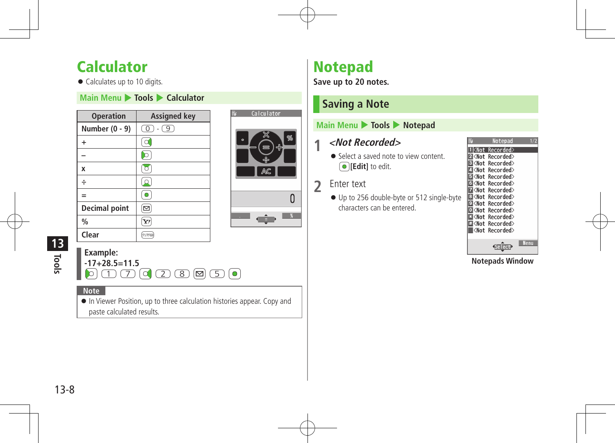# **Calculator**

• Calculates up to 10 digits.

### **Main Menu** 4 **Tools** 4 **Calculator**

| <b>Operation</b>     | <b>Assigned key</b>       |
|----------------------|---------------------------|
| Number (0 - 9)       | $\circledcirc$<br>$-$ (9) |
| $\ddot{}$            |                           |
|                      |                           |
| X                    | $\overline{\circ}$        |
| ÷                    |                           |
| $=$                  |                           |
| <b>Decimal point</b> | ⊵                         |
| $\frac{0}{0}$        | Y!                        |
| Clear                |                           |



# **Tools 13**

## **Example:**

**-17+28.5=11.5**  $\lbrack 0 \rbrack$   $\lbrack 1 \rbrack$   $\lbrack 0 \rbrack$   $\lbrack 2 \rbrack$   $\lbrack 3 \rbrack$   $\lbrack 5 \rbrack$   $\lbrack 0 \rbrack$ 

#### **Note**

 In Viewer Position, up to three calculation histories appear. Copy and paste calculated results.

# Notepad

**Save up to 20 notes.**

# **Saving a Note**

### **Main Menu** 4 **Tools** 4 **Notepad**

## **1 <Not Recorded>**

● Select a saved note to view content  $\bigcirc$  **[Edit]** to edit.

## **2** Enter text

 Up to 256 double-byte or 512 single-byte characters can be entered.

|                                                     | Notepad   |      |
|-----------------------------------------------------|-----------|------|
|                                                     | Recorded> |      |
| ⊠≺Not                                               | Recorded> |      |
| ∣ <not< td=""><td>Recorded&gt;</td><td></td></not<> | Recorded> |      |
| ∣ <not< td=""><td>Recorded&gt;</td><td></td></not<> | Recorded> |      |
| ∣ <not< td=""><td>Recorded&gt;</td><td></td></not<> | Recorded> |      |
| <not< td=""><td>Recorded&gt;</td><td></td></not<>   | Recorded> |      |
| <not< td=""><td>Recorded&gt;</td><td></td></not<>   | Recorded> |      |
| <not< th=""><th>Recorded&gt;</th><th></th></not<>   | Recorded> |      |
| <not< td=""><td>Recorded&gt;</td><td></td></not<>   | Recorded> |      |
| ≺Not                                                | Recorded> |      |
| <not< td=""><td>Recorded&gt;</td><td></td></not<>   | Recorded> |      |
| <not< td=""><td>Recorded&gt;</td><td></td></not<>   | Recorded> |      |
| ∣ <not< td=""><td>Recorded&gt;</td><td></td></not<> | Recorded> |      |
|                                                     |           |      |
|                                                     | Selec     | Menu |

**Notepads Window**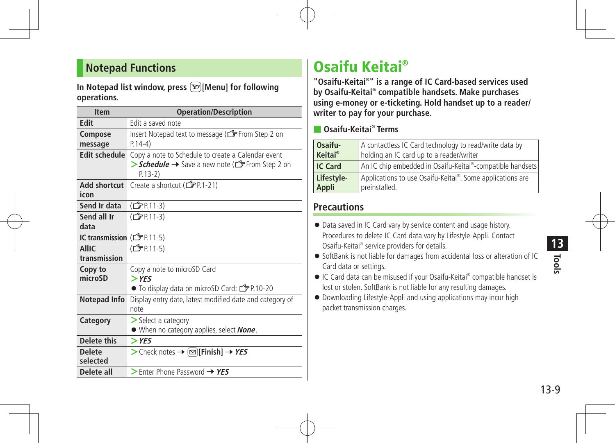## **Notepad Functions**

In Notepad list window, press  $\boxed{\mathbf{\Sigma}}$  [Menu] for following **operations.**

| <b>Item</b>                  | <b>Operation/Description</b>                                                                                        |  |  |
|------------------------------|---------------------------------------------------------------------------------------------------------------------|--|--|
| <b>Edit</b>                  | Edit a saved note                                                                                                   |  |  |
| Compose<br>message           | Insert Notepad text to message (CFFrom Step 2 on<br>$P.14-4)$                                                       |  |  |
| <b>Edit schedule</b>         | Copy a note to Schedule to create a Calendar event<br>> Schedule → Save a new note (for From Step 2 on<br>$P.13-2)$ |  |  |
| <b>Add shortcut</b><br>icon  | Create a shortcut (子P.1-21)                                                                                         |  |  |
| Send Ir data                 | (C <sub>J</sub> P P.11-3)                                                                                           |  |  |
| Send all Ir<br>data          | (C <sub>J</sub> PP 11-3)                                                                                            |  |  |
| IC transmission (子P.11-5)    |                                                                                                                     |  |  |
| <b>AllIC</b><br>transmission | (C <sub>J</sub> P.11-5)                                                                                             |  |  |
| Copy to<br>microSD           | Copy a note to microSD Card<br>$>$ YES<br>● To display data on microSD Card: <a></a>                                |  |  |
| Notepad Info                 | Display entry date, latest modified date and category of<br>note                                                    |  |  |
| Category                     | $\geq$ Select a category<br>● When no category applies, select None.                                                |  |  |
| Delete this                  | $>$ YES                                                                                                             |  |  |
| <b>Delete</b><br>selected    | > Check notes → $\boxed{\infty}$ [Finish] → YES                                                                     |  |  |
| Delete all                   | $>$ Enter Phone Password $\rightarrow$ YES                                                                          |  |  |

# Osaifu Keitai®

"Osaifu-Keitai<sup>®</sup>" is a range of IC Card-based services used **by Osaifu-Keitai® compatible handsets. Make purchases using e-money or e-ticketing. Hold handset up to a reader/ writer to pay for your purchase.**

■ **Osaifu-Keitai® Terms**

| Osaifu-                    | A contactless IC Card technology to read/write data by    |  |  |
|----------------------------|-----------------------------------------------------------|--|--|
| <b>Keitai</b> <sup>®</sup> | holding an IC card up to a reader/writer                  |  |  |
| <b>IC Card</b>             | An IC chip embedded in Osaifu-Keitai®-compatible handsets |  |  |
| Lifestyle-                 | Applications to use Osaifu-Keitai®. Some applications are |  |  |
| Appli                      | preinstalled.                                             |  |  |

## **Precautions**

- $\bullet$  Data saved in IC Card vary by service content and usage history. Procedures to delete IC Card data vary by Lifestyle-Appli. Contact Osaifu-Keitai® service providers for details.
- SoftBank is not liable for damages from accidental loss or alteration of IC Card data or settings.
- IC Card data can be misused if your Osaifu-Keitai® compatible handset is lost or stolen. SoftBank is not liable for any resulting damages.
- Downloading Lifestyle-Appli and using applications may incur high packet transmission charges.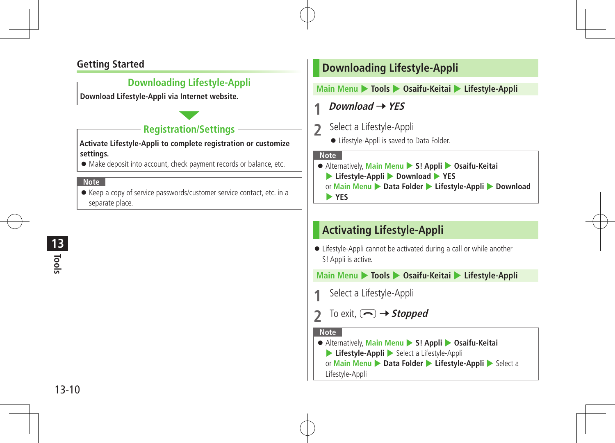## **Getting Started**

## **Downloading Lifestyle-Appli**

**Download Lifestyle-Appli via Internet website.**

## **Registration/Settings**

**Activate Lifestyle-Appli to complete registration or customize settings.**

 $\bullet$  Make deposit into account, check payment records or balance, etc.

#### **Note**

 Keep a copy of service passwords/customer service contact, etc. in a separate place.

## **Downloading Lifestyle-Appli**

**Main Menu** 4 **Tools** 4 **Osaifu-Keitai** 4 **Lifestyle-Appli**

**1** Download  $\rightarrow$  YES

- **2** Select <sup>a</sup> Lifestyle-Appli
	- Lifestyle-Appli is saved to Data Folder.

#### **Note**

- Alternatively, **Main Menu** 4 **S! Appli** 4 **Osaifu-Keitai**
	- 4 **Lifestyle-Appli** 4 **Download** 4 **YES**
	- **or Main Menu Data Folder Duifestyle-Appli** Download

4 **YES**

## **Activating Lifestyle-Appli**

 Lifestyle-Appli cannot be activated during a call or while another S! Appli is active.

**Main Menu** 4 **Tools** 4 **Osaifu-Keitai** 4 **Lifestyle-Appli**

- **Select a Lifestyle-Appli**
- To exit,  $\left(\bigcap \rightarrow$  **Stopped**

#### **Note**

 Alternatively, **Main Menu** 4 **S! Appli** 4 **Osaifu-Keitai Lifestyle-Appli** > Select a Lifestyle-Appli **or Main Menu Data Folder Duifestyle-Appli** Belect a

Lifestyle-Appli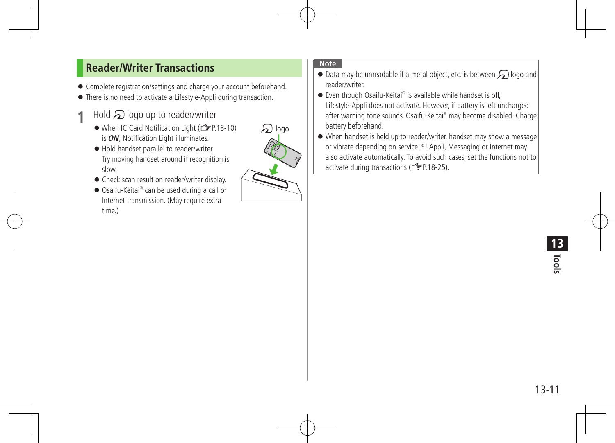## **Reader/Writer Transactions**

- Complete registration/settings and charge your account beforehand.
- There is no need to activate a Lifestyle-Appli during transaction.
- **Hold**  $\Omega$  logo up to reader/writer
	- When IC Card Notification Light (CPP.18-10) is**ON**, Notification Light illuminates.
	- $\bullet$  Hold handset parallel to reader/writer. Try moving handset around if recognition is slow.
	- Check scan result on reader/writer display.
	- Osaifu-Keitai® can be used during a call or Internet transmission. (May require extra time.)



- $\bullet$  Data may be unreadable if a metal object, etc. is between  $\bigcirc$  logo and reader/writer.
- Even though Osaifu-Keitai® is available while handset is off, Lifestyle-Appli does not activate. However, if battery is left uncharged after warning tone sounds, Osaifu-Keitai® may become disabled. Charge battery beforehand.
- When handset is held up to reader/writer, handset may show a message or vibrate depending on service. S! Appli, Messaging or Internet may also activate automatically. To avoid such cases, set the functions not to activate during transactions ( $\mathbb{Z}$ P.18-25).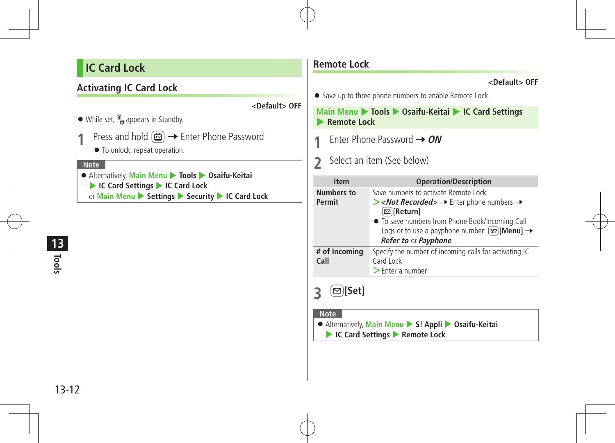# **IC Card Lock**

## **Activating IC Card Lock**

**<Default> OFF**

- $\bullet$  While set,  $\frac{12}{9}$  appears in Standby.
- 1 Press and hold  $\textcircled{\textbf{m}}$  → Enter Phone Password
	- $\bullet$  To unlock, repeat operation.

#### **Note**

 Alternatively, **Main Menu** 4 **Tools** 4 **Osaifu-Keitai** 4 **IC Card Settings** 4 **IC Card Lock** or **Main Menu** 4 **Settings** 4 **Security** 4 **IC Card Lock**

## **Remote Lock**

#### **<Default> OFF**

• Save up to three phone numbers to enable Remote Lock.

**Main Menu** 4 **Tools** 4 **Osaifu-Keitai** 4 **IC Card Settings**  4 **Remote Lock**

- **Enter Phone Password → ON**
- **2** Select an item (See below)

| <b>Item</b>           | <b>Operation/Description</b>                                                                                                                                                                                                                                  |
|-----------------------|---------------------------------------------------------------------------------------------------------------------------------------------------------------------------------------------------------------------------------------------------------------|
| <b>Numbers to</b>     | Save numbers to activate Remote Lock                                                                                                                                                                                                                          |
| Permit                | $\triangleright$ < <i>Not Recorded</i> $\rightarrow$ Enter phone numbers $\rightarrow$<br>⊠ Return]<br>• To save numbers from Phone Book/Incoming Call<br>Logs or to use a payphone number: $\boxed{\mathbf{x}}$ [Menu] $\rightarrow$<br>Refer to or Payphone |
| # of Incoming<br>Call | Specify the number of incoming calls for activating IC<br>Card Lock<br>$\geq$ Enter a number                                                                                                                                                                  |

# **3 ⊠**[Set]

- Alternatively, **Main Menu** 4 **S! Appli** 4 **Osaifu-Keitai**
	- 4 **IC Card Settings** 4 **Remote Lock**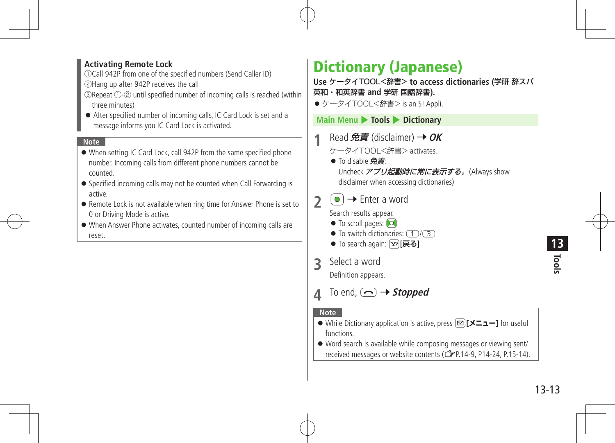### **Activating Remote Lock**

①Call 942P from one of the specified numbers (Send Caller ID)

②Hang up after 942P receives the call

- ③Repeat ①-② until specified number of incoming calls is reached (within three minutes)
- After specified number of incoming calls, IC Card Lock is set and a message informs you IC Card Lock is activated.

#### **Note**

- When setting IC Card Lock, call 942P from the same specified phone number. Incoming calls from different phone numbers cannot be counted.
- Specified incoming calls may not be counted when Call Forwarding is active.
- Remote Lock is not available when ring time for Answer Phone is set to 0 or Driving Mode is active.
- When Answer Phone activates, counted number of incoming calls are reset.

# Dictionary (Japanese)

**Use** ケータイTOOL<辞書> **to access dictionaries (**学研 辞スパ 英和・和英辞書 **and** 学研 国語辞書**).**

●ケータイTOOL<辞書> is an S! Appli.

**Main Menu** 4 **Tools** 4 **Dictionary**

- **Read 免責 (disclaimer) →**  $OK$ 
	- ケータイTOOL<辞書> activates.
	- To disable 免責: Uncheck アプリ起動時に常に表示する。(Always show disclaimer when accessing dictionaries)
- $2 \quad \circlearrowright$   $\rightarrow$  Enter a word

Search results appear.

- $\bullet$  To scroll pages:  $\bullet$
- $\bullet$  To switch dictionaries:  $\left(\begin{matrix} 1 \end{matrix}\right)$
- To search again: [Y?][戻る]
- **3** Select <sup>a</sup> word

Definition appears.

To end,  $\left(\bigcap\right) \rightarrow$  *Stopped* 

- While Dictionary application is active, press A**[メニュー]** for useful functions.
- Word search is available while composing messages or viewing sent/ received messages or website contents (ZP.14-9, P14-24, P.15-14).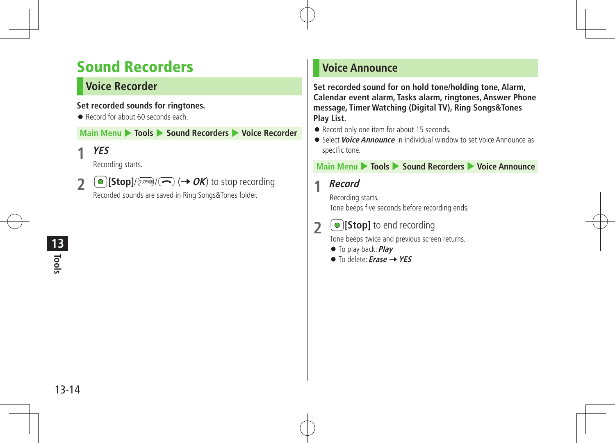# Sound Recorders

# **Voice Recorder**

### **Set recorded sounds for ringtones.**

Record for about 60 seconds each

**Main Menu** 4 **Tools** 4 **Sound Recorders** 4 **Voice Recorder**

**1 YES**

Recording starts.

**2**  $\bigcirc$  [Stop]/ $\bigcirc$ <sub>*z*</sub>  $\bigcirc$   $\bigcirc$  ( $\rightarrow$  *OK*) to stop recording

Recorded sounds are saved in Ring Songs&Tones folder.

## **Voice Announce**

**Set recorded sound for on hold tone/holding tone, Alarm, Calendar event alarm, Tasks alarm, ringtones, Answer Phone message, Timer Watching (Digital TV), Ring Songs&Tones Play List.**

- Record only one item for about 15 seconds.
- **•** Select *Voice Announce* in individual window to set Voice Announce as specific tone.

## **Main Menu • Tools • Sound Recorders • Voice Announce**

## **1 Record**

Recording starts. Tone beeps five seconds before recording ends.

# **2 D** [Stop] to end recording

Tone beeps twice and previous screen returns.

- To play back:**Play**
- To delete: *Erase* → YES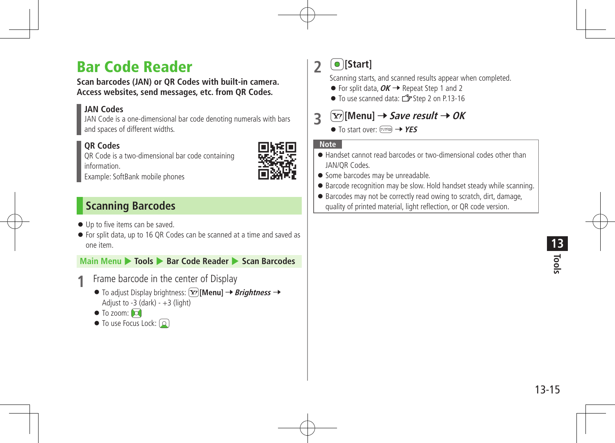# Bar Code Reader

**Scan barcodes (JAN) or QR Codes with built-in camera. Access websites, send messages, etc. from QR Codes.**

## **JAN Codes**

JAN Code is a one-dimensional bar code denoting numerals with bars and spaces of different widths.

## **QR Codes**

QR Code is a two-dimensional bar code containing information.



Example: SoftBank mobile phones

## **Scanning Barcodes**

- $\bullet$  Up to five items can be saved.
- For split data, up to 16 QR Codes can be scanned at a time and saved as one item.

**Main Menu** 4 **Tools** 4 **Bar Code Reader** 4 **Scan Barcodes**

- Frame barcode in the center of Display
	- $\bullet$  To adjust Display brightness:  $\widehat{X}$ [Menu]  $\rightarrow$  *Brightness*  $\rightarrow$ Adjust to  $-3$  (dark)  $- +3$  (light)
	- $\bullet$  To zoom:  $\bullet$
	- $\bullet$  To use Focus Lock:  $\textcircled{2}$

**2** \*z**[Start]**

Scanning starts, and scanned results appear when completed.

- $\bullet$  For split data,  $OK \rightarrow$  Repeat Step 1 and 2
- To use scanned data: <sup>2</sup> Step 2 on P.13-16

# **3**  $\boxed{\mathbf{Y}}$ [Menu]  $\rightarrow$  Save result  $\rightarrow$  OK

● To start over: <sub>(777</sup><del>)</del> → YES</sub>

- Handset cannot read barcodes or two-dimensional codes other than JAN/QR Codes.
- Some barcodes may be unreadable.
- Barcode recognition may be slow. Hold handset steady while scanning.
- Barcodes may not be correctly read owing to scratch, dirt, damage, quality of printed material, light reflection, or QR code version.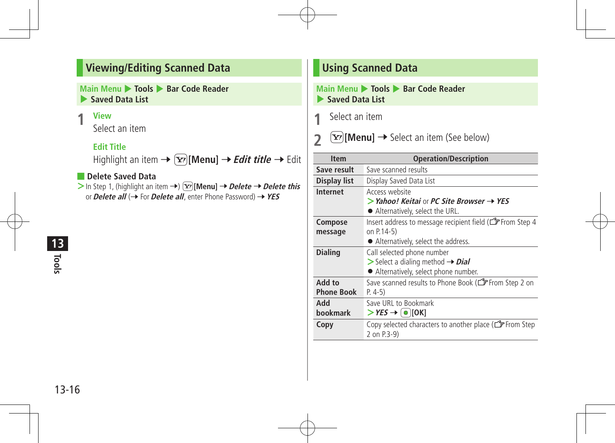## **Viewing/Editing Scanned Data**

**Main Menu** 4 **Tools** 4 **Bar Code Reader**  4 **Saved Data List**

#### **1 View**

Select an item

### **Edit Title**

Highlight an item →  $\boxed{\mathbf{x}}$ **[Menu]** → *Edit title* → Edit

### ■ **Delete Saved Data**

 $\triangleright$  In Step 1, (highlight an item  $\rightarrow$ )  $\boxed{\mathbf{x}}$  **[Menu]**  $\rightarrow$  *Delete*  $\rightarrow$  *Delete this* or**Delete all** (7 For**Delete all**, enter Phone Password) 7**YES**

# **Tools 13**

## **Using Scanned Data**

#### **Main Menu** 4 **Tools** 4 **Bar Code Reader**  4 **Saved Data List**

**1** Select an item

**2**  $\boxed{\mathbf{Y}}$  [Menu]  $\rightarrow$  Select an item (See below)

| <b>Item</b>                 | <b>Operation/Description</b>                                                                                                       |
|-----------------------------|------------------------------------------------------------------------------------------------------------------------------------|
| Save result                 | Save scanned results                                                                                                               |
| Display list                | Display Saved Data List                                                                                                            |
| Internet                    | Access website<br>$>$ Yahoo! Keitai or PC Site Browser $\rightarrow$ YES<br>• Alternatively, select the URL.                       |
| Compose<br>message          | Insert address to message recipient field (CF From Step 4<br>on P.14-5)<br>• Alternatively, select the address.                    |
| <b>Dialing</b>              | Call selected phone number<br>$\triangleright$ Select a dialing method $\rightarrow$ Dial<br>• Alternatively, select phone number. |
| Add to<br><b>Phone Book</b> | Save scanned results to Phone Book (CFFrom Step 2 on<br>$P. 4-5)$                                                                  |
| hbA<br>bookmark             | Save URL to Bookmark<br>$>$ YES $\rightarrow$ [ $\bullet$ ][OK]                                                                    |
| Copy                        | Copy selected characters to another place (CFF From Step<br>2 on P.3-9)                                                            |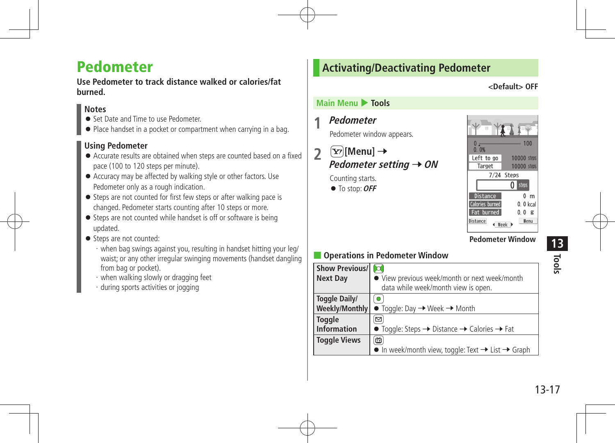# Pedometer

**Use Pedometer to track distance walked or calories/fat burned.**

## **Notes**

- Set Date and Time to use Pedometer.
- Place handset in a pocket or compartment when carrying in a bag.

## **Using Pedometer**

- Accurate results are obtained when steps are counted based on a fixed pace (100 to 120 steps per minute).
- Accuracy may be affected by walking style or other factors. Use Pedometer only as a rough indication.
- Steps are not counted for first few steps or after walking pace is changed. Pedometer starts counting after 10 steps or more.
- Steps are not counted while handset is off or software is being updated.
- Steps are not counted:
	- ・when bag swings against you, resulting in handset hitting your leg/ waist; or any other irregular swinging movements (handset dangling from bag or pocket).
	- ・when walking slowly or dragging feet
	- ・during sports activities or jogging

## **Activating/Deactivating Pedometer**

**<Default> OFF**

### **Main Menu** 4 **Tools**

**1 Pedometer** Pedometer window appears.

 $2$   $\infty$  [Menu]  $\rightarrow$ **Pedometer setting → ON** 

Counting starts.

 $\bullet$  To stop: OFF



**Pedometer Window**

## ■ **Operations in Pedometer Window**

| <b>Show Previous/</b> | $\Omega$                                                                          |
|-----------------------|-----------------------------------------------------------------------------------|
| <b>Next Day</b>       | • View previous week/month or next week/month                                     |
|                       | data while week/month view is open.                                               |
| Toggle Daily/         | $\bullet$                                                                         |
| Weekly/Monthly        | $\bullet$ Toggle: Day $\rightarrow$ Week $\rightarrow$ Month                      |
| <b>Toggle</b>         | $\left[ \Xi \right]$                                                              |
| <b>Information</b>    | • Toggle: Steps $\rightarrow$ Distance $\rightarrow$ Calories $\rightarrow$ Fat   |
| <b>Toggle Views</b>   | 圙                                                                                 |
|                       | $\bullet$ In week/month view, toggle: Text $\rightarrow$ List $\rightarrow$ Graph |